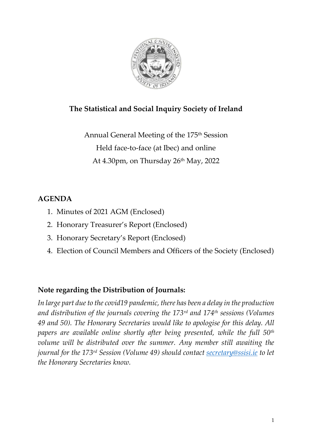

# **The Statistical and Social Inquiry Society of Ireland**

Annual General Meeting of the 175 th Session Held face-to-face (at Ibec) and online At 4.30pm, on Thursday 26<sup>th</sup> May, 2022

## **AGENDA**

- 1. Minutes of 2021 AGM (Enclosed)
- 2. Honorary Treasurer's Report (Enclosed)
- 3. Honorary Secretary's Report (Enclosed)
- 4. Election of Council Members and Officers of the Society (Enclosed)

## **Note regarding the Distribution of Journals:**

*In large part due to the covid19 pandemic, there has been a delay in the production and distribution of the journals covering the 173rd and 174th sessions (Volumes 49 and 50). The Honorary Secretaries would like to apologise for this delay. All papers are available online shortly after being presented, while the full 50th volume will be distributed over the summer. Any member still awaiting the journal for the 173 rd Session (Volume 49) should contact [secretary@ssisi.ie](mailto:secretary@ssisi.ie) to let the Honorary Secretaries know.*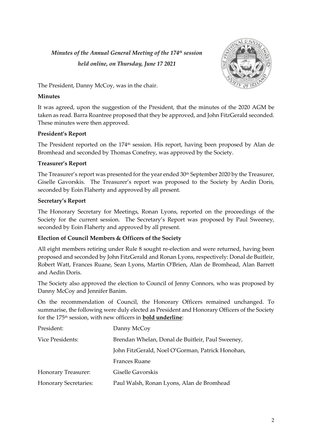## *Minutes of the Annual General Meeting of the 174 th session held online, on Thursday, June 17 2021*



The President, Danny McCoy, was in the chair.

#### **Minutes**

It was agreed, upon the suggestion of the President, that the minutes of the 2020 AGM be taken as read. Barra Roantree proposed that they be approved, and John FitzGerald seconded. These minutes were then approved.

#### **President's Report**

The President reported on the 174<sup>th</sup> session. His report, having been proposed by Alan de Bromhead and seconded by Thomas Conefrey, was approved by the Society.

#### **Treasurer's Report**

The Treasurer's report was presented for the year ended 30<sup>th</sup> September 2020 by the Treasurer, Giselle Gavorskis. The Treasurer's report was proposed to the Society by Aedin Doris, seconded by Eoin Flaherty and approved by all present.

#### **Secretary's Report**

The Honorary Secretary for Meetings, Ronan Lyons, reported on the proceedings of the Society for the current session. The Secretary's Report was proposed by Paul Sweeney, seconded by Eoin Flaherty and approved by all present.

#### **Election of Council Members & Officers of the Society**

All eight members retiring under Rule 8 sought re-election and were returned, having been proposed and seconded by John FitzGerald and Ronan Lyons, respectively: Donal de Buitleir, Robert Watt, Frances Ruane, Sean Lyons, Martin O'Brien, Alan de Bromhead, Alan Barrett and Aedin Doris.

The Society also approved the election to Council of Jenny Connors, who was proposed by Danny McCoy and Jennifer Banim.

On the recommendation of Council, the Honorary Officers remained unchanged. To summarise, the following were duly elected as President and Honorary Officers of the Society for the 175 th session, with new officers in **bold underline**:

| President:                   | Danny McCoy                                      |
|------------------------------|--------------------------------------------------|
| <b>Vice Presidents:</b>      | Brendan Whelan, Donal de Buitleir, Paul Sweeney, |
|                              | John FitzGerald, Noel O'Gorman, Patrick Honohan, |
|                              | Frances Ruane                                    |
| Honorary Treasurer:          | Giselle Gavorskis                                |
| <b>Honorary Secretaries:</b> | Paul Walsh, Ronan Lyons, Alan de Bromhead        |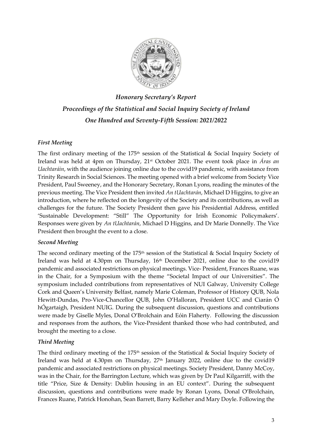

*Honorary Secretary's Report Proceedings of the Statistical and Social Inquiry Society of Ireland One Hundred and Seventy-Fifth Session: 2021/2022*

#### *First Meeting*

The first ordinary meeting of the 175<sup>th</sup> session of the Statistical & Social Inquiry Society of Ireland was held at 4pm on Thursday, 21st October 2021. The event took place in *Áras an Uachtaráin*, with the audience joining online due to the covid19 pandemic, with assistance from Trinity Research in Social Sciences. The meeting opened with a brief welcome from Society Vice President, Paul Sweeney, and the Honorary Secretary, Ronan Lyons, reading the minutes of the previous meeting. The Vice President then invited *An tUachtarán*, Michael D Higgins, to give an introduction, where he reflected on the longevity of the Society and its contributions, as well as challenges for the future. The Society President then gave his Presidential Address, entitled 'Sustainable Development: "Still" The Opportunity for Irish Economic Policymakers'. Responses were given by *An tUachtarán*, Michael D Higgins, and Dr Marie Donnelly. The Vice President then brought the event to a close.

#### *Second Meeting*

The second ordinary meeting of the  $175<sup>th</sup>$  session of the Statistical & Social Inquiry Society of Ireland was held at  $4.30 \text{pm}$  on Thursday,  $16\text{th}$  December 2021, online due to the covid19 pandemic and associated restrictions on physical meetings. Vice- President, Frances Ruane, was in the Chair, for a Symposium with the theme "Societal Impact of our Universities". The symposium included contributions from representatives of NUI Galway, University College Cork and Queen's University Belfast, namely Marie Coleman, Professor of History QUB, Nola Hewitt-Dundas, Pro-Vice-Chancellor QUB, John O'Halloran, President UCC and Ciarán Ó hÓgartaigh, President NUIG. During the subsequent discussion, questions and contributions were made by Giselle Myles, Donal O'Brolchain and Eóin Flaherty. Following the discussion and responses from the authors, the Vice-President thanked those who had contributed, and brought the meeting to a close.

#### *Third Meeting*

The third ordinary meeting of the 175<sup>th</sup> session of the Statistical & Social Inquiry Society of Ireland was held at 4.30pm on Thursday, 27<sup>th</sup> January 2022, online due to the covid19 pandemic and associated restrictions on physical meetings. Society President, Danny McCoy, was in the Chair, for the Barrington Lecture, which was given by Dr Paul Kilgarriff, with the title "Price, Size & Density: Dublin housing in an EU context". During the subsequent discussion, questions and contributions were made by Ronan Lyons, Donal O'Brolchain, Frances Ruane, Patrick Honohan, Sean Barrett, Barry Kelleher and Mary Doyle. Following the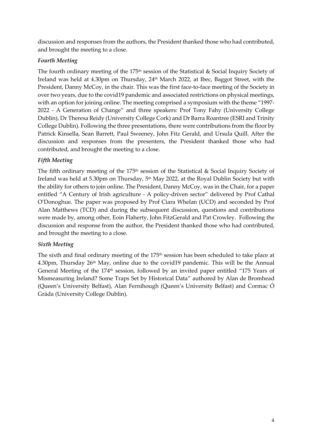discussion and responses from the authors, the President thanked those who had contributed, and brought the meeting to a close.

#### *Fourth Meeting*

The fourth ordinary meeting of the  $175<sup>th</sup>$  session of the Statistical & Social Inquiry Society of Ireland was held at 4.30pm on Thursday, 24 th March 2022, at Ibec, Baggot Street, with the President, Danny McCoy, in the chair. This was the first face-to-face meeting of the Society in over two years, due to the covid19 pandemic and associated restrictions on physical meetings, with an option for joining online. The meeting comprised a symposium with the theme "1997- 2022 - A Generation of Change" and three speakers: Prof Tony Fahy (University College Dublin), Dr Theresa Reidy (University College Cork) and Dr Barra Roantree (ESRI and Trinity College Dublin). Following the three presentations, there were contributions from the floor by Patrick Kinsella, Sean Barrett, Paul Sweeney, John Fitz Gerald, and Ursula Quill. After the discussion and responses from the presenters, the President thanked those who had contributed, and brought the meeting to a close.

#### *Fifth Meeting*

The fifth ordinary meeting of the 175 th session of the Statistical & Social Inquiry Society of Ireland was held at 5.30pm on Thursday, 5<sup>th</sup> May 2022, at the Royal Dublin Society but with the ability for others to join online. The President, Danny McCoy, was in the Chair, for a paper entitled "A Century of Irish agriculture - A policy-driven sector" delivered by Prof Cathal O'Donoghue. The paper was proposed by Prof Ciara Whelan (UCD) and seconded by Prof Alan Matthews (TCD) and during the subsequent discussion, questions and contributions were made by, among other, Eoin Flaherty, John FitzGerald and Pat Crowley. Following the discussion and response from the author, the President thanked those who had contributed, and brought the meeting to a close.

#### *Sixth Meeting*

The sixth and final ordinary meeting of the 175th session has been scheduled to take place at 4.30pm, Thursday  $26<sup>th</sup>$  May, online due to the covid19 pandemic. This will be the Annual General Meeting of the 174<sup>th</sup> session, followed by an invited paper entitled "175 Years of Mismeasuring Ireland? Some Traps Set by Historical Data" authored by Alan de Bromhead (Queen's University Belfast), Alan Fernihough (Queen's University Belfast) and Cormac Ó Gráda (University College Dublin).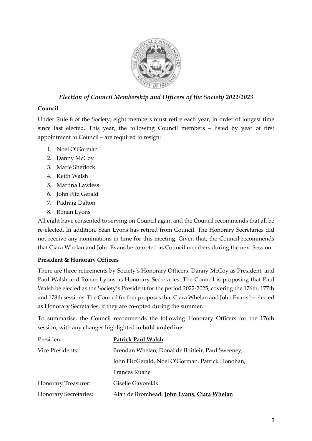

### *Election of Council Membership and Officers of the Society 2022/2023*

#### **Council**

Under Rule 8 of the Society, eight members must retire each year, in order of longest time since last elected. This year, the following Council members – listed by year of first appointment to Council – are required to resign:

- 1. Noel O'Gorman
- 2. Danny McCoy
- 3. Marie Sherlock
- 4. Keith Walsh
- 5. Martina Lawless
- 6. John Fitz Gerald
- 7. Padraig Dalton
- 8. Ronan Lyons

All eight have consented to serving on Council again and the Council recommends that all be re-elected. In addition, Sean Lyons has retired from Council. The Honorary Secretaries did not receive any nominations in time for this meeting. Given that, the Council recommends that Ciara Whelan and John Evans be co-opted as Council members during the next Session.

#### **President & Honorary Officers**

There are three retirements by Society's Honorary Officers: Danny McCoy as President, and Paul Walsh and Ronan Lyons as Honorary Secretaries. The Council is proposing that Paul Walsh be elected as the Society's President for the period 2022-2025, covering the 176th, 177th and 178th sessions. The Council further proposes that Ciara Whelan and John Evans be elected as Honorary Secretaries, if they are co-opted during the summer.

To summarise, the Council recommends the following Honorary Officers for the 176th session, with any changes highlighted in **bold underline**:

| President:                   | <b>Patrick Paul Walsh</b>                        |
|------------------------------|--------------------------------------------------|
| Vice Presidents:             | Brendan Whelan, Donal de Buitleir, Paul Sweeney, |
|                              | John FitzGerald, Noel O'Gorman, Patrick Honohan, |
|                              | Frances Ruane                                    |
| Honorary Treasurer:          | Giselle Gavorskis                                |
| <b>Honorary Secretaries:</b> | Alan de Bromhead, John Evans, Ciara Whelan       |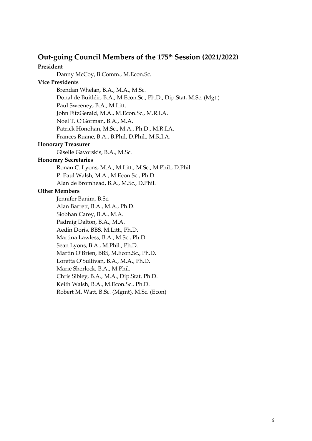# **Out-going Council Members of the 175 th Session (2021/2022)**

## **President**

Danny McCoy, B.Comm., M.Econ.Sc.

#### **Vice Presidents**

Brendan Whelan, B.A., M.A., M.Sc.

Donal de Buitléir, B.A., M.Econ.Sc., Ph.D., Dip.Stat, M.Sc. (Mgt.)

Paul Sweeney, B.A., M.Litt.

John FitzGerald, M.A., M.Econ.Sc., M.R.I.A.

Noel T. O'Gorman, B.A., M.A.

Patrick Honohan, M.Sc., M.A., Ph.D., M.R.I.A.

Frances Ruane, B.A., B.Phil, D.Phil., M.R.I.A.

#### **Honorary Treasurer**

Giselle Gavorskis, B.A., M.Sc.

#### **Honorary Secretaries**

Ronan C. Lyons, M.A., M.Litt., M.Sc., M.Phil., D.Phil.

P. Paul Walsh, M.A., M.Econ.Sc., Ph.D.

Alan de Bromhead, B.A., M.Sc., D.Phil.

#### **Other Members**

Jennifer Banim, B.Sc. Alan Barrett, B.A., M.A., Ph.D. Siobhan Carey, B.A., M.A. Padraig Dalton, B.A., M.A. Aedín Doris, BBS, M.Litt., Ph.D. Martina Lawless, B.A., M.Sc., Ph.D. Sean Lyons, B.A., M.Phil., Ph.D. Martin O'Brien, BBS, M.Econ.Sc., Ph.D. Loretta O'Sullivan, B.A., M.A., Ph.D. Marie Sherlock, B.A., M.Phil. Chris Sibley, B.A., M.A., Dip.Stat, Ph.D. Keith Walsh, B.A., M.Econ.Sc., Ph.D. Robert M. Watt, B.Sc. (Mgmt), M.Sc. (Econ)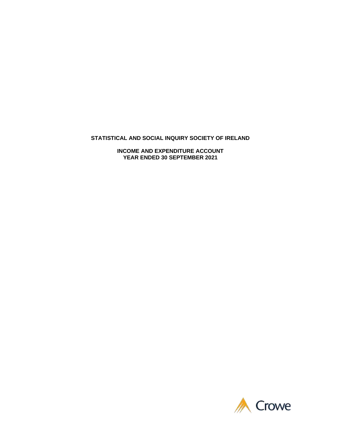#### **STATISTICAL AND SOCIAL INQUIRY SOCIETY OF IRELAND**

**INCOME AND EXPENDITURE ACCOUNT YEAR ENDED 30 SEPTEMBER 2021**